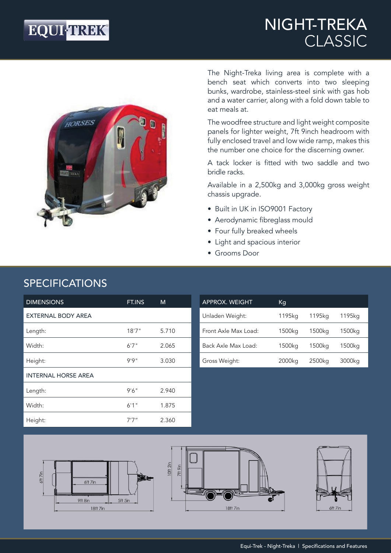# **EQUI-TREK®**

## NIGHT-TREKA CLASSIC



The Night-Treka living area is complete with a bench seat which converts into two sleeping bunks, wardrobe, stainless-steel sink with gas hob and a water carrier, along with a fold down table to eat meals at.

The woodfree structure and light weight composite panels for lighter weight, 7ft 9inch headroom with fully enclosed travel and low wide ramp, makes this the number one choice for the discerning owner.

A tack locker is fitted with two saddle and two bridle racks.

Available in a 2,500kg and 3,000kg gross weight chassis upgrade.

- Built in UK in ISO9001 Factory
- Aerodynamic fibreglass mould
- Four fully breaked wheels
- Light and spacious interior
- Grooms Door

| <b>DIMENSIONS</b>          | FT.INS | м     |
|----------------------------|--------|-------|
| <b>EXTERNAL BODY AREA</b>  |        |       |
| Length:                    | 18'7'' | 5.710 |
| Width:                     | 6'7''  | 2.065 |
| Height:                    | 9'9''  | 3.030 |
| <b>INTERNAL HORSE AREA</b> |        |       |
| Length:                    | 9'6''  | 2.940 |
| Width:                     | 6'1''  | 1.875 |
| Height:                    | 7'7"   | 2.360 |

| <b>APPROX. WEIGHT</b> | Кg     |        |        |
|-----------------------|--------|--------|--------|
| Unladen Weight:       | 1195kg | 1195ka | 1195ka |
| Front Axle Max Load:  | 1500kg | 1500kg | 1500kg |
| Back Axle Max Load:   | 1500kg | 1500kg | 1500kg |
| Gross Weight:         | 2000kg | 2500kg | 3000kg |







### SPECIFICATIONS